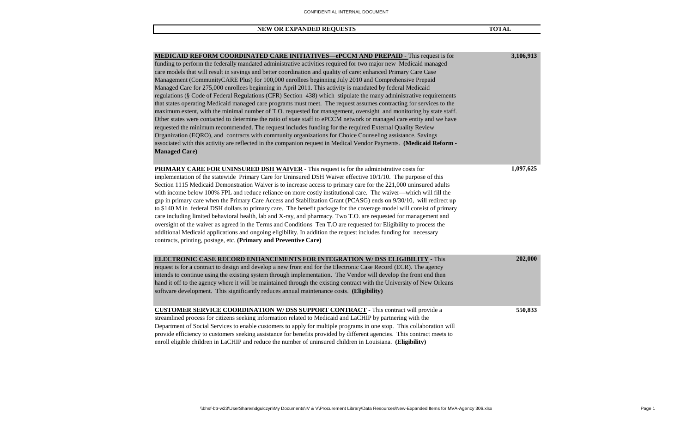| NEW OR EXPANDED REOUESTS | <b>TOTAL</b> |
|--------------------------|--------------|
|--------------------------|--------------|

| MEDICAID REFORM COORDINATED CARE INITIATIVES—ePCCM AND PREPAID - This request is for                                   | 3,106,913 |
|------------------------------------------------------------------------------------------------------------------------|-----------|
| funding to perform the federally mandated administrative activities required for two major new Medicaid managed        |           |
| care models that will result in savings and better coordination and quality of care: enhanced Primary Care Case        |           |
| Management (CommunityCARE Plus) for 100,000 enrollees beginning July 2010 and Comprehensive Prepaid                    |           |
| Managed Care for 275,000 enrollees beginning in April 2011. This activity is mandated by federal Medicaid              |           |
| regulations (§ Code of Federal Regulations (CFR) Section 438) which stipulate the many administrative requirements     |           |
| that states operating Medicaid managed care programs must meet. The request assumes contracting for services to the    |           |
| maximum extent, with the minimal number of T.O. requested for management, oversight and monitoring by state staff.     |           |
| Other states were contacted to determine the ratio of state staff to ePCCM network or managed care entity and we have  |           |
| requested the minimum recommended. The request includes funding for the required External Quality Review               |           |
| Organization (EQRO), and contracts with community organizations for Choice Counseling assistance. Savings              |           |
| associated with this activity are reflected in the companion request in Medical Vendor Payments. (Medicaid Reform -    |           |
| <b>Managed Care</b> )                                                                                                  |           |
|                                                                                                                        |           |
| <b>PRIMARY CARE FOR UNINSURED DSH WAIVER</b> - This request is for the administrative costs for                        | 1,097,625 |
| implementation of the statewide Primary Care for Uninsured DSH Waiver effective 10/1/10. The purpose of this           |           |
| Section 1115 Medicaid Demonstration Waiver is to increase access to primary care for the 221,000 uninsured adults      |           |
| with income below 100% FPL and reduce reliance on more costly institutional care. The waiver—which will fill the       |           |
|                                                                                                                        |           |
| gap in primary care when the Primary Care Access and Stabilization Grant (PCASG) ends on 9/30/10, will redirect up     |           |
| to \$140 M in federal DSH dollars to primary care. The benefit package for the coverage model will consist of primary  |           |
| care including limited behavioral health, lab and X-ray, and pharmacy. Two T.O. are requested for management and       |           |
| oversight of the waiver as agreed in the Terms and Conditions Ten T.O are requested for Eligibility to process the     |           |
| additional Medicaid applications and ongoing eligibility. In addition the request includes funding for necessary       |           |
| contracts, printing, postage, etc. (Primary and Preventive Care)                                                       |           |
|                                                                                                                        |           |
| <b>ELECTRONIC CASE RECORD ENHANCEMENTS FOR INTEGRATION W/DSS ELIGIBILITY - This</b>                                    | 202,000   |
| request is for a contract to design and develop a new front end for the Electronic Case Record (ECR). The agency       |           |
| intends to continue using the existing system through implementation. The Vendor will develop the front end then       |           |
| hand it off to the agency where it will be maintained through the existing contract with the University of New Orleans |           |
| software development. This significantly reduces annual maintenance costs. (Eligibility)                               |           |
|                                                                                                                        |           |
| <b>CUSTOMER SERVICE COORDINATION W/ DSS SUPPORT CONTRACT - This contract will provide a</b>                            | 550,833   |
| streamlined process for citizens seeking information related to Medicaid and LaCHIP by partnering with the             |           |
| Department of Social Services to enable customers to apply for multiple programs in one stop. This collaboration will  |           |
| provide efficiency to customers seeking assistance for benefits provided by different agencies. This contract meets to |           |
| enroll eligible children in LaCHIP and reduce the number of uninsured children in Louisiana. (Eligibility)             |           |
|                                                                                                                        |           |